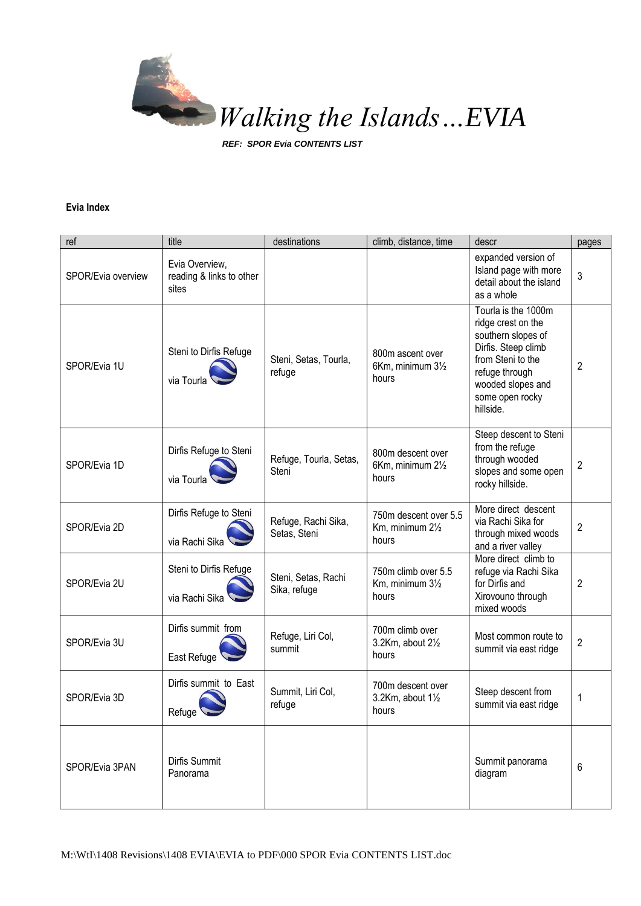

*REF: SPOR Evia CONTENTS LIST*

## **Evia Index**

| ref                | title                                               | destinations                        | climb, distance, time                                     | descr                                                                                                                                                                              | pages          |
|--------------------|-----------------------------------------------------|-------------------------------------|-----------------------------------------------------------|------------------------------------------------------------------------------------------------------------------------------------------------------------------------------------|----------------|
| SPOR/Evia overview | Evia Overview,<br>reading & links to other<br>sites |                                     |                                                           | expanded version of<br>Island page with more<br>detail about the island<br>as a whole                                                                                              | 3              |
| SPOR/Evia 1U       | Steni to Dirfis Refuge<br>via Tourla                | Steni, Setas, Tourla,<br>refuge     | 800m ascent over<br>6Km, minimum 31/2<br>hours            | Tourla is the 1000m<br>ridge crest on the<br>southern slopes of<br>Dirfis. Steep climb<br>from Steni to the<br>refuge through<br>wooded slopes and<br>some open rocky<br>hillside. | 2              |
| SPOR/Evia 1D       | Dirfis Refuge to Steni<br>via Tourla                | Refuge, Tourla, Setas,<br>Steni     | 800m descent over<br>6Km, minimum 21/2<br>hours           | Steep descent to Steni<br>from the refuge<br>through wooded<br>slopes and some open<br>rocky hillside.                                                                             | $\overline{2}$ |
| SPOR/Evia 2D       | Dirfis Refuge to Steni<br>via Rachi Sika            | Refuge, Rachi Sika,<br>Setas, Steni | 750m descent over 5.5<br>Km, minimum 21/2<br>hours        | More direct descent<br>via Rachi Sika for<br>through mixed woods<br>and a river valley                                                                                             | $\overline{2}$ |
| SPOR/Evia 2U       | Steni to Dirfis Refuge<br>via Rachi Sika            | Steni, Setas, Rachi<br>Sika, refuge | 750m climb over 5.5<br>Km, minimum 31/2<br>hours          | More direct climb to<br>refuge via Rachi Sika<br>for Dirfis and<br>Xirovouno through<br>mixed woods                                                                                | 2              |
| SPOR/Evia 3U       | Dirfis summit from<br>East Refuge                   | Refuge, Liri Col,<br>summit         | 700m climb over<br>3.2Km, about 21/2<br>hours             | Most common route to<br>summit via east ridge                                                                                                                                      | $\overline{2}$ |
| SPOR/Evia 3D       | Dirfis summit to East<br>Refuge                     | Summit, Liri Col,<br>refuge         | 700m descent over<br>3.2Km, about $1\frac{1}{2}$<br>hours | Steep descent from<br>summit via east ridge                                                                                                                                        | 1              |
| SPOR/Evia 3PAN     | Dirfis Summit<br>Panorama                           |                                     |                                                           | Summit panorama<br>diagram                                                                                                                                                         | 6              |